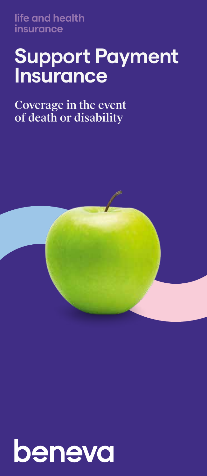**life and health insurance**

# **Support Payment Insurance**

### Coverage in the event of death or disability